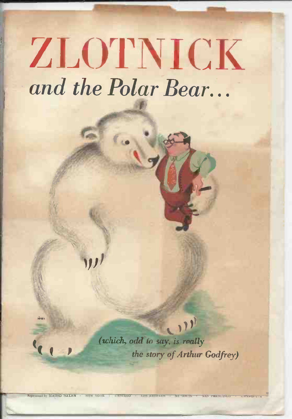## ZLOTNICK and the Polar Bear...

(which, odd to say, is really the story of Arthur Godfrey)

 $1)$ 

das.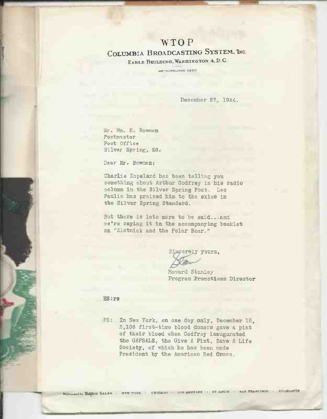## WTO P

## COLUMBIA BROADCASTING SYSTEM, INC.

EARLE BUILDING, WASHINGTON 4, D.C.

METROPOLITAN 3200

December 27, 1944.

Mr. Wm. E. Bowman Postmaster Post Office Silver Spring, Md.

Dear lir. Bowman:

Charlie Kopeland has been telling you something about Arthur Godfrey in his radio column in the Silver Spring Post. Leo Paulin has praised him to the skies in the Silver Spring Standard.

But there is lots more to be said...and we're saying it in the accompanying booklet on "Zlotnick and the Polar Bear."

Siacerely yours,  $\sigma$   $\sim$ 

Howard Stanley Program Promotions Director

HS:rs

FS: In New York, on one day only, December 15, 2,106 first-time blood donors gave a pint of their blood when Godfrey inaugurated the GAPSALS, the Give A Pint, Savo A Life Society, of which he has been made President by the American Red Cross.

Represented by RADIO SALES - NEW YORK - CHICAGO - LOS ANOELES - ST. LOUIS - SAN FRANCISCO - CHAELOTTE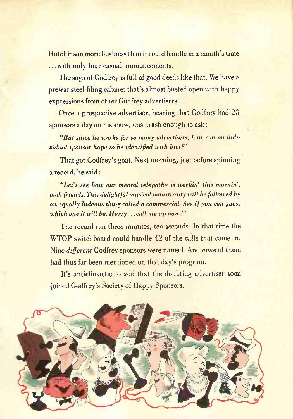Hutchinson more business than it could handle in a month's time ... with only four casual announcements.

The saga of Godfrey is full of good deeds like that. We have a prewar steel filing cabinet that's almost busted open with happy expressions from other Godfrey advertisers.

Once a prospective advertiser, hearing that Godfrey had 23 sponsors a day on his show, was brash enough to ask;

"But since he works for so many advertisers, how can an individual sponsor hope to be identified with him?"

That got Godfrey's goat. Next morning, just before spinning a record, he said:

"Let's see how our mental telepathy is workin' this mornin', mah friends. This delightful musical monstrosity will be followed by an equally hideous thing called a commercial. See if you can guess which one it will be. Hurry... call me up now !"

The record ran three minutes, ten seconds. In that time the WTOP switchboard could handle 42 of the calls that came in. Nine difierent Godfrey sponsors were named. And none of them had thus far been mentioned on that day's program.

It's anticlimactic to add that the doubting advertiser soon joined Godfrey's Society of Happy Sponsors.

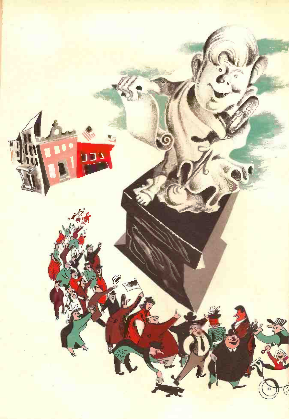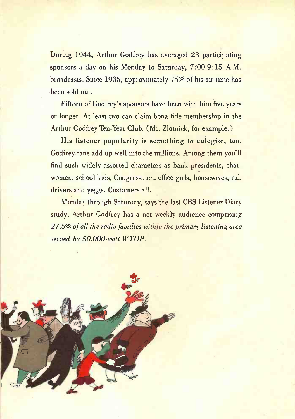During 1944, Arthur Godfrey has averaged 23 participating sponsors a day on his Monday to Saturday, 7:00-9:15 A.M. broadcasts. Since 1935, approximately 75% of his air time has been sold out.

Fifteen of Godfrey's sponsors have been with him five years or longer. At least two can claim bona fide membership in the Arthur Godfrey Ten-Year Club. (Mr. Zlotnick, for example.)

His listener popularity is something to eulogize, too. Godfrey fans add up well into the millions. Among them you'll find such widely assorted characters as bank presidents, charwomen, school kids, Congressmen, office girls, housewives, cab drivers and yeggs. Customers all.

Monday through Saturday, says the last CBS Listener Diary study, Arthur Godfrey has a net weekly audience comprising 27.5% of all the radio families within the primary listening area served by 50,000-watt WTOP.

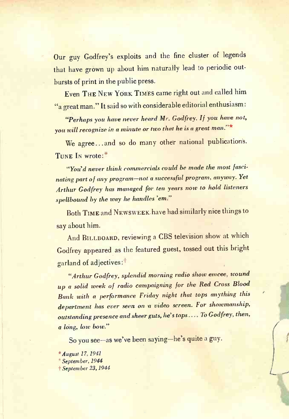Our guy Godfrey's exploits and the fine cluster of legends that have grown up about him naturally lead to periodic outbursts of print in the public press.

Even THE NEW YORK TIMES came right out and called him "a great man." It said so with considerable editorial enthusiasm:

"Perhaps you have never heard Mr. Godfrey. If you have not, you will recognize in a minute or two that he is a great man."\*

We agree...and so do many other national publications. TUNE IN wrote:\*

"You'd never think commercials could be made the most fascinating part of any program-not a successful program, anyway. Yet Arthur Godfrey has managed for ten years now to hold listeners spellbound by the way he handles 'em."

Both TIME and NEWSWEEK have had similarly nice things to say about him.

And BILLBOARD, reviewing a CBS television show at which Godfrey appeared as the featured guest, tossed out this bright garland of adjectives:<sup>+</sup>

"Arthur Godfrey, splendid morning radio show emcee, wound up a solid week of radio campaigning for the Red Cross Blood Bank with a performance Friday night that tops anything this department has ever seen on a video screen. For showmanship, outstanding presence and sheer guts, he's tops .. . . To Godfrey, then, a long, low bow."

So you see-as we've been saying-he's quite a guy.

\* August 17, 1941 September, 1944 September 23, 1944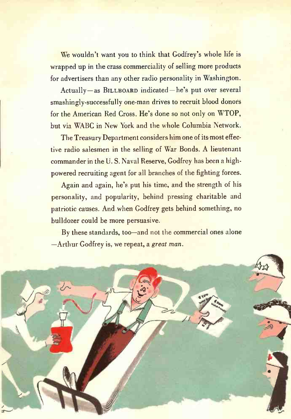We wouldn't want you to think that Godfrey's whole life is wrapped up in the crass commerciality of selling more products for advertisers than any other radio personality in Washington.

 $Actually—as **BILLBOARD** indicated—he's put over several$ smashingly-successfully one-man drives to recruit blood donors for the American Red Cross. He's done so not only on WTOP, but via WABC in New York and the whole Columbia Network.

The Treasury Department considers him one of its most effective radio salesmen in the selling of War Bonds. A lieutenant commander in the U. S. Naval Reserve, Godfrey has been a highpowered recruiting agent for all branches of the fighting forces.

Again and again, he's put his time, and the strength of his personality, and popularity, behind pressing charitable and patriotic causes. And when Godfrey gets behind something, no bulldozer could be more persuasive.

By these standards, too-and not the commercial ones alone -Arthur Godfrey is, we repeat, a great man.

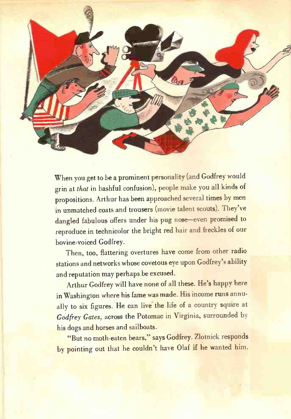

When you get to be a prominent personality (and Godfrey would grin at that in bashful confusion), people make you all kinds of propositions. Arthur has been approached several times by men in unmatched coats and trousers (movie talent scouts). They've dangled fabulous offers under his pug nose-even promised to reproduce in technicolor the bright red hair and freckles of our bovine -voiced Godfrey.

Then, too, flattering overtures have come from other radio stations and networks whose covetous eye upon Godfrey's ability and reputation may perhaps be excused.

Arthur Godfrey will have none of all these. He's happy here in Washington where his fame was made. His income runs annually to six figures. He can live the life of a country squire at Godfrey Gates, across the Potomac in Virginia, surrounded by his dogs and horses and sailboats.

"But no moth-eaten bears," says Godfrey. Zlotnick responds by pointing out that he couldn't have Olaf if he wanted him.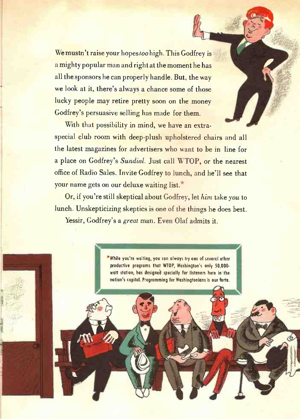We mustn't raise your hopes too high. This Godfrey is a mighty popular man and right at the moment he has all the sponsors he can properly handle. But, the way we look at it, there's always a chance some of those lucky people may retire pretty soon on the money Godfrey's persuasive selling has made for them.

With that possibility in mind, we have an extraspecial club room with deep -plush upholstered chairs and all the latest magazines for advertisers who want to be in line for a place on Godfrey's Sundial. Just call WTOP, or the nearest office of Radio Sales. Invite Godfrey to lunch, and he'll see that your name gets on our deluxe waiting list.\*

Or, if you're still skeptical about Godfrey, let him take you to lunch. Unskepticizing skeptics is one of the things he does best. Yessir, Godfrey's a great man. Even Olaf admits it.

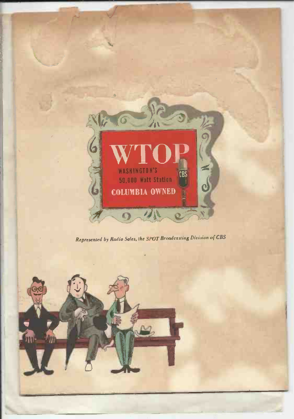

Represented by Radio Sales, the SPOT Broadcasting Division of CBS

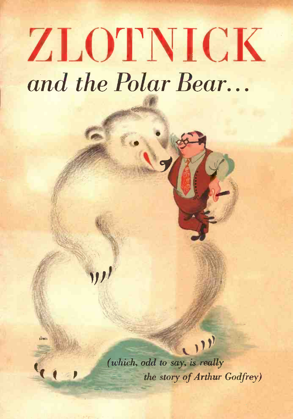## ZLOTNICK and the Polar Bear...

(which, odd to say, is really the story of Arthur Godfrey)

 $1)$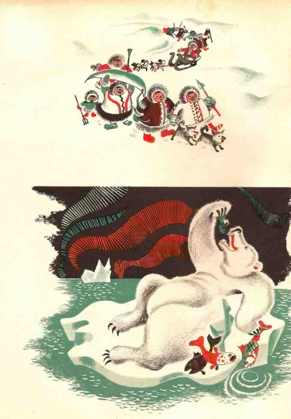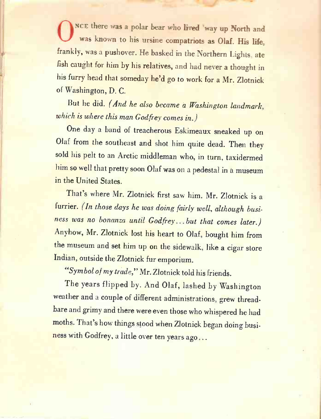NCE there was a polar bear who lived 'way up North and was known to his ursine compatriots as Olaf. His life, frankly, was a pushover. He basked in the Northern Lights, ate fish caught for him by his relatives, and had never a thought in his furry head that someday he'd go to work for a Mr. Zlotnick of Washington, D. C.

But he did. (And he also became a Washington landmark, which is where this man Godfrey comes in.)

One day a band of treacherous Eskimeaux sneaked up on Olaf from the southeast and shot him quite dead. Then they sold his pelt to an Arctic middleman who, in turn, taxidermed him so well that pretty soon Olaf was on a pedestal in a museum in the United States.

That's where Mr. Zlotnick first saw him. Mr. Zlotnick is a furrier. (In those days he was doing fairly well, although business was no bonanza until Godfrey ... but that comes later.) Anyhow, Mr. Zlotnick lost his heart to Olaf, bought him from the museum and set him up on the sidewalk, like a cigar store Indian, outside the Zlotnick fur emporium.

"Symbol of my trade," Mr. Zlotnick told his friends.

The years flipped by. And Olaf, lashed by Washington weather and a couple of different administrations, grew threadbare and grimy and there were even those who whispered he had moths. That's how things stood when Zlotnick began doing business with Godfrey, a little over ten years ago...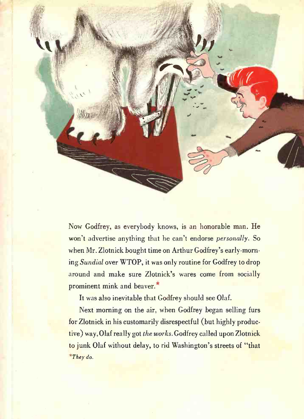

Now Godfrey, as everybody knows, is an honorable man. He won't advertise anything that he can't endorse personally. So when Mr. Zlotnick bought time on Arthur Godfrey's early-morning Sundial over WTOP, it was only routine for Godfrey to drop around and make sure Zlotnick's wares come from socially prominent mink and beaver.\*

It was also inevitable that Godfrey should see Olaf.

Next morning on the air, when Godfrey began selling furs for Zlotnick in his customarily disrespectful (but highly productive) way, Olaf really got the works. Godfrey called upon Zlotnick to junk Olaf without delay, to rid Washington's streets of "that \*They do.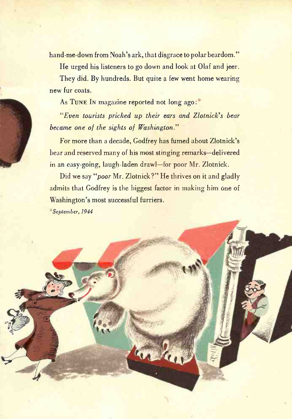hand-me-down from Noah's ark, that disgrace to polar beardom."

He urged his listeners to go down and look at Olaf and jeer. They did. By hundreds. But quite a few went home wearing new fur coats.

As TUNE IN magazine reported not long ago:\*

"Even tourists pricked up their ears and Zlotnick's bear became one of the sights of Washington."

For more than a decade, Godfrey has fumed about Zlotnick's bear and reserved many of his most stinging remarks-delivered in an easy-going, laugh-laden drawl-for poor Mr. Zlotnick.

Did we say "poor Mr. Zlotnick ?" He thrives on it and gladly admits that Godfrey is the biggest factor in making him one of Washington's most successful furriers.

September, 1944

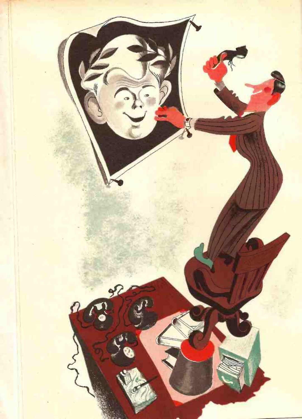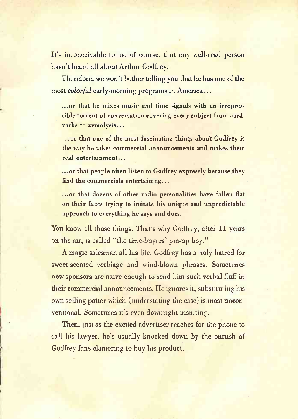It's inconceivable to us, of course, that any well-read person hasn't heard all about Arthur Godfrey.

Therefore, we won't bother telling you that he has one of the most colorful early-morning programs in America...

...or that he mixes music and time signals with an irrepressible torrent of conversation covering every subject from aardvarks to zymolysis...

... or that one of the most fascinating things about Godfrey is the way he takes commercial announcements and makes them real entertainment...

...or that people often listen to Godfrey expressly because they find the commercials entertaining...

... or that dozens of other radio personalities have fallen flat on their faces trying to imitate his unique and unpredictable approach to everything he says and does.

You know all those things. That's why Godfrey, after 11 years on the air, is called "the time -buyers' pin-up boy."

A magic salesman all his life, Godfrey has a holy hatred for sweet -scented verbiage and wind-blown phrases. Sometimes new sponsors are naive enough to send him such verbal fluff in their commercial announcements. He ignores it, substituting his own selling patter which (understating the case) is most unconventional. Sometimes it's even downright insulting.

Then, just as the excited advertiser reaches for the phone to call his lawyer, he's usually knocked down by the onrush of Godfrey fans clamoring to buy his product.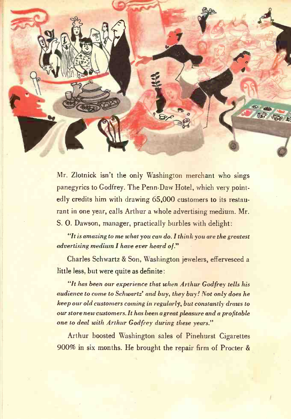

Mr. Zlotnick isn't the only Washington merchant who sings panegyrics to Godfrey. The Penn-Daw Hotel, which very pointedly credits him with drawing 65,000 customers to its restaurant in one year, calls Arthur a whole advertising medium. Mr. S. 0. Dawson, manager, practically burbles with delight:

"It is amazing to me what you can do. I think you are the greatest advertising medium I have ever heard of."

Charles Schwartz & Son, Washington jewelers, effervesced a little less, but were quite as definite:

"It has been our experience that when Arthur Godfrey tells his audience to come to Schwartz' and buy, they buy! Not only does he keep our old customers coming in regularly, but constantly draws to our store new customers. It has been a great pleasure and a profitable one to deal with Arthur Godfrey during these years."

Arthur boosted Washington sales of Pinehurst Cigarettes 900% in six months. He brought the repair firm of Procter &